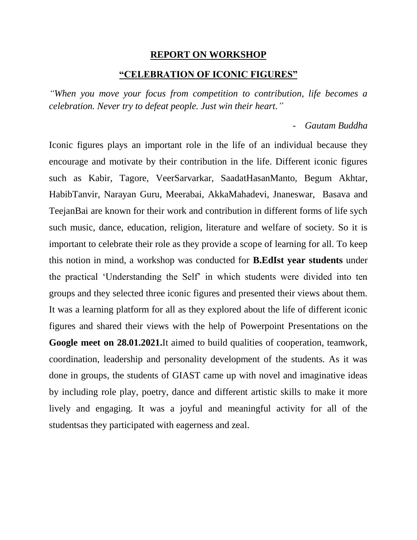## **REPORT ON WORKSHOP "CELEBRATION OF ICONIC FIGURES"**

*"When you move your focus from competition to contribution, life becomes a celebration. Never try to defeat people. Just win their heart."*

## - *Gautam Buddha*

Iconic figures plays an important role in the life of an individual because they encourage and motivate by their contribution in the life. Different iconic figures such as Kabir, Tagore, VeerSarvarkar, SaadatHasanManto, Begum Akhtar, HabibTanvir, Narayan Guru, Meerabai, AkkaMahadevi, Jnaneswar, Basava and TeejanBai are known for their work and contribution in different forms of life sych such music, dance, education, religion, literature and welfare of society. So it is important to celebrate their role as they provide a scope of learning for all. To keep this notion in mind, a workshop was conducted for **B.EdIst year students** under the practical 'Understanding the Self' in which students were divided into ten groups and they selected three iconic figures and presented their views about them. It was a learning platform for all as they explored about the life of different iconic figures and shared their views with the help of Powerpoint Presentations on the **Google meet on 28.01.2021.**It aimed to build qualities of cooperation, teamwork, coordination, leadership and personality development of the students. As it was done in groups, the students of GIAST came up with novel and imaginative ideas by including role play, poetry, dance and different artistic skills to make it more lively and engaging. It was a joyful and meaningful activity for all of the studentsas they participated with eagerness and zeal.